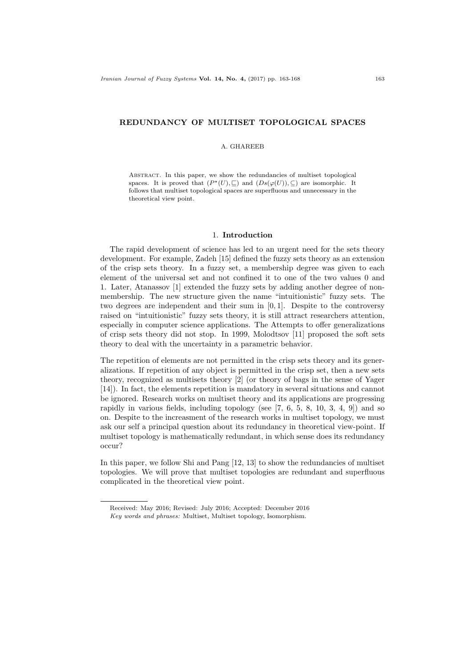## REDUNDANCY OF MULTISET TOPOLOGICAL SPACES

## A. GHAREEB

Abstract. In this paper, we show the redundancies of multiset topological spaces. It is proved that  $(P^*(U), \sqsubseteq)$  and  $(Ds(\varphi(U)), \subseteq)$  are isomorphic. It follows that multiset topological spaces are superfluous and unnecessary in the theoretical view point.

## 1. Introduction

The rapid development of science has led to an urgent need for the sets theory development. For example, Zadeh [15] defined the fuzzy sets theory as an extension of the crisp sets theory. In a fuzzy set, a membership degree was given to each element of the universal set and not confined it to one of the two values 0 and 1. Later, Atanassov [1] extended the fuzzy sets by adding another degree of nonmembership. The new structure given the name "intuitionistic" fuzzy sets. The two degrees are independent and their sum in [0, 1]. Despite to the controversy raised on "intuitionistic" fuzzy sets theory, it is still attract researchers attention, especially in computer science applications. The Attempts to offer generalizations of crisp sets theory did not stop. In 1999, Molodtsov [11] proposed the soft sets theory to deal with the uncertainty in a parametric behavior.

The repetition of elements are not permitted in the crisp sets theory and its generalizations. If repetition of any object is permitted in the crisp set, then a new sets theory, recognized as multisets theory [2] (or theory of bags in the sense of Yager [14]). In fact, the elements repetition is mandatory in several situations and cannot be ignored. Research works on multiset theory and its applications are progressing rapidly in various fields, including topology (see  $[7, 6, 5, 8, 10, 3, 4, 9]$ ) and so on. Despite to the increasment of the research works in multiset topology, we must ask our self a principal question about its redundancy in theoretical view-point. If multiset topology is mathematically redundant, in which sense does its redundancy occur?

In this paper, we follow Shi and Pang [12, 13] to show the redundancies of multiset topologies. We will prove that multiset topologies are redundant and superfluous complicated in the theoretical view point.

Received: May 2016; Revised: July 2016; Accepted: December 2016

Key words and phrases: Multiset, Multiset topology, Isomorphism.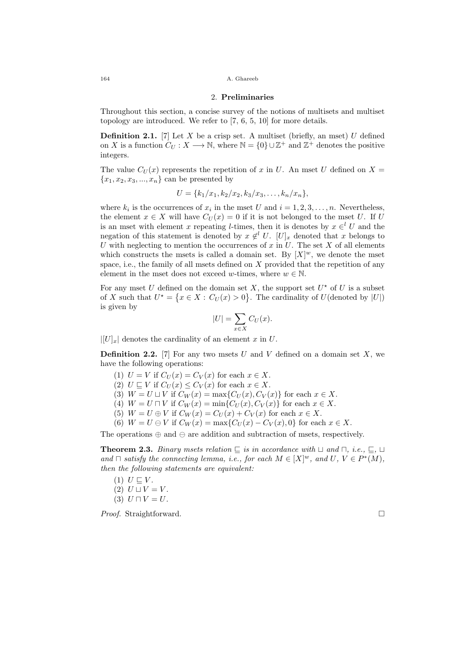164 A. Ghareeb

## 2. Preliminaries

Throughout this section, a concise survey of the notions of multisets and multiset topology are introduced. We refer to [7, 6, 5, 10] for more details.

**Definition 2.1.** [7] Let X be a crisp set. A multiset (briefly, an mset) U defined on X is a function  $C_U : X \longrightarrow \mathbb{N}$ , where  $\mathbb{N} = \{0\} \cup \mathbb{Z}^+$  and  $\mathbb{Z}^+$  denotes the positive integers.

The value  $C_U(x)$  represents the repetition of x in U. An mset U defined on X =  ${x_1, x_2, x_3, ..., x_n}$  can be presented by

$$
U = \{k_1/x_1, k_2/x_2, k_3/x_3, \ldots, k_n/x_n\},\
$$

where  $k_i$  is the occurrences of  $x_i$  in the mset U and  $i = 1, 2, 3, ..., n$ . Nevertheless, the element  $x \in X$  will have  $C_U(x) = 0$  if it is not belonged to the mset U. If U is an mset with element x repeating l-times, then it is denotes by  $x \in U$  and the negation of this statement is denoted by  $x \notin U$ .  $[U]_x$  denoted that x belongs to U with neglecting to mention the occurrences of  $x$  in  $U$ . The set  $X$  of all elements which constructs the msets is called a domain set. By  $[X]^w$ , we denote the mset space, i.e., the family of all msets defined on  $X$  provided that the repetition of any element in the mset does not exceed w-times, where  $w \in \mathbb{N}$ .

For any mset U defined on the domain set X, the support set  $U^*$  of U is a subset of X such that  $U^* = \{x \in X : C_U(x) > 0\}$ . The cardinality of  $U$ (denoted by  $|U|$ ) is given by

$$
|U| = \sum_{x \in X} C_U(x).
$$

 $|[U]_x|$  denotes the cardinality of an element x in U.

**Definition 2.2.** [7] For any two msets U and V defined on a domain set X, we have the following operations:

- (1)  $U = V$  if  $C_U(x) = C_V(x)$  for each  $x \in X$ .
- (2)  $U \sqsubseteq V$  if  $C_U(x) \leq C_V(x)$  for each  $x \in X$ .
- (3)  $W = U \sqcup V$  if  $C_W(x) = \max\{C_U(x), C_V(x)\}\$ for each  $x \in X$ .
- (4)  $W = U \sqcap V$  if  $C_W(x) = \min\{C_U(x), C_V(x)\}\$ for each  $x \in X$ .
- (5)  $W = U \oplus V$  if  $C_W(x) = C_U(x) + C_V(x)$  for each  $x \in X$ .
- (6)  $W = U \oplus V$  if  $C_W(x) = \max\{C_U(x) C_V(x), 0\}$  for each  $x \in X$ .

The operations  $\oplus$  and  $\ominus$  are addition and subtraction of msets, respectively.

**Theorem 2.3.** Binary msets relation  $\subseteq$  is in accordance with  $\sqcup$  and  $\sqcap$ , i.e.,  $\subseteq$ ,  $\sqcup$ and  $\sqcap$  satisfy the connecting lemma, i.e., for each  $M \in [X]^w$ , and  $U, V \in P^*(M)$ , then the following statements are equivalent:

- $(1)$   $U \sqsubseteq V$ .
- (2)  $U \sqcup V = V$ .

$$
(3) U \sqcap V = U.
$$

*Proof.* Straightforward. □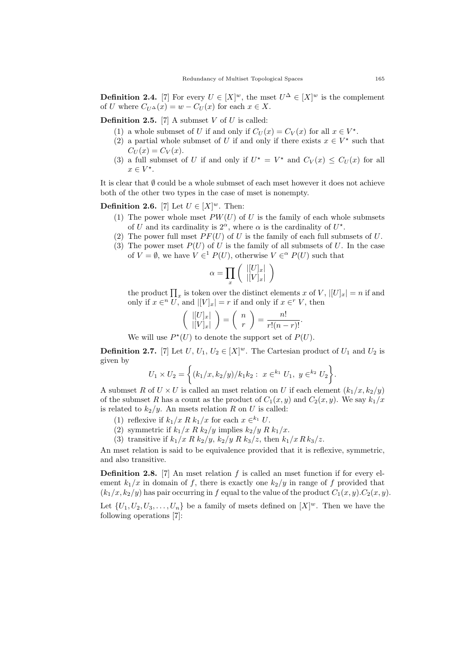**Definition 2.4.** [7] For every  $U \in [X]^w$ , the mset  $U^{\Delta} \in [X]^w$  is the complement of U where  $C_{U^{\Delta}}(x) = w - C_{U}(x)$  for each  $x \in X$ .

**Definition 2.5.** [7] A submset  $V$  of  $U$  is called:

- (1) a whole submset of U if and only if  $C_U(x) = C_V(x)$  for all  $x \in V^*$ .
- (2) a partial whole submset of U if and only if there exists  $x \in V^*$  such that  $C_U(x) = C_V(x)$ .
- (3) a full submset of U if and only if  $U^* = V^*$  and  $C_V(x) \leq C_U(x)$  for all  $x \in V^*$ .

It is clear that  $\emptyset$  could be a whole submset of each mset however it does not achieve both of the other two types in the case of mset is nonempty.

**Definition 2.6.** [7] Let  $U \in [X]^w$ . Then:

- (1) The power whole mset  $PW(U)$  of U is the family of each whole submsets of U and its cardinality is  $2^{\alpha}$ , where  $\alpha$  is the cardinality of  $U^*$ .
- (2) The power full mset  $PF(U)$  of U is the family of each full submsets of U.
- (3) The power mset  $P(U)$  of U is the family of all submsets of U. In the case of  $V = \emptyset$ , we have  $V \in^1 P(U)$ , otherwise  $V \in^{\alpha} P(U)$  such that

$$
\alpha = \prod_x \left( \begin{array}{c} |[U]_x| \\ |[V]_x| \end{array} \right)
$$

the product  $\prod_x$  is token over the distinct elements x of V,  $|[U]_x| = n$  if and only if  $x \in U$ , and  $|[V]_x] = r$  if and only if  $x \in V$ , then

$$
\left(\begin{array}{c} |[U]_x| \\ |[V]_x| \end{array}\right) = \left(\begin{array}{c} n \\ r \end{array}\right) = \frac{n!}{r!(n-r)!}.
$$

We will use  $P^*(U)$  to denote the support set of  $P(U)$ .

**Definition 2.7.** [7] Let  $U, U_1, U_2 \in [X]^w$ . The Cartesian product of  $U_1$  and  $U_2$  is given by

$$
U_1 \times U_2 = \left\{ (k_1/x, k_2/y)/k_1 k_2 : x \in k_1 U_1, y \in k_2 U_2 \right\}.
$$

A submset R of  $U \times U$  is called an mset relation on U if each element  $(k_1/x, k_2/y)$ of the submset R has a count as the product of  $C_1(x, y)$  and  $C_2(x, y)$ . We say  $k_1/x$ is related to  $k_2/y$ . An msets relation R on U is called:

- (1) reflexive if  $k_1/x \, R \, k_1/x$  for each  $x \in k_1 U$ .
- (2) symmetric if  $k_1/x \, R \, k_2/y$  implies  $k_2/y \, R \, k_1/x$ .
- (3) transitive if  $k_1/x \, R \, k_2/y$ ,  $k_2/y \, R \, k_3/z$ , then  $k_1/x \, R \, k_3/z$ .

An mset relation is said to be equivalence provided that it is reflexive, symmetric, and also transitive.

**Definition 2.8.** [7] An mset relation  $f$  is called an mset function if for every element  $k_1/x$  in domain of f, there is exactly one  $k_2/y$  in range of f provided that  $(k_1/x, k_2/y)$  has pair occurring in f equal to the value of the product  $C_1(x, y)$ .  $C_2(x, y)$ .

Let  $\{U_1, U_2, U_3, \ldots, U_n\}$  be a family of msets defined on  $[X]^w$ . Then we have the following operations [7]: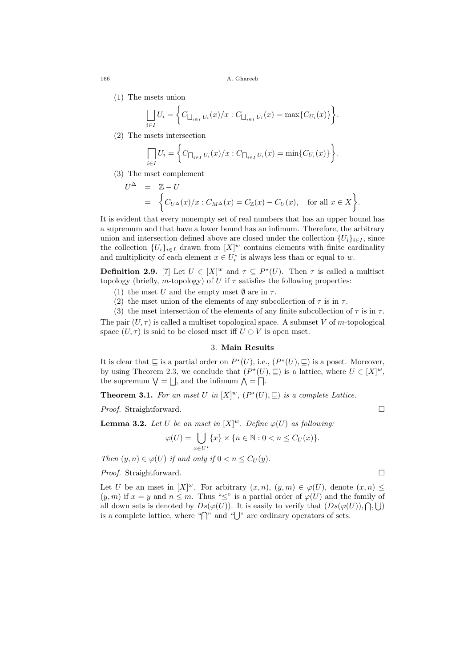166 A. Ghareeb

(1) The msets union

$$
\bigsqcup_{i \in I} U_i = \bigg\{ C_{\bigsqcup_{i \in I} U_i}(x)/x : C_{\bigsqcup_{i \in I} U_i}(x) = \max \{ C_{U_i}(x) \} \bigg\}.
$$

(2) The msets intersection

$$
\prod_{i \in I} U_i = \left\{ C_{\prod_{i \in I} U_i}(x)/x : C_{\prod_{i \in I} U_i}(x) = \min\{C_{U_i}(x)\} \right\}.
$$

(3) The mset complement

$$
\begin{array}{rcl} U^{\Delta} & = & \mathbb{Z} - U \\ & = & \left\{ C_{U^{\Delta}}(x)/x : C_{M^{\Delta}}(x) = C_{\mathbb{Z}}(x) - C_{U}(x), \quad \text{for all } x \in X \right\}. \end{array}
$$

It is evident that every nonempty set of real numbers that has an upper bound has a supremum and that have a lower bound has an infimum. Therefore, the arbitrary union and intersection defined above are closed under the collection  ${U_i}_{i \in I}$ , since the collection  $\{U_i\}_{i\in I}$  drawn from  $[X]^w$  contains elements with finite cardinality and multiplicity of each element  $x \in U_i^*$  is always less than or equal to w.

**Definition 2.9.** [7] Let  $U \in [X]^w$  and  $\tau \subseteq P^*(U)$ . Then  $\tau$  is called a multiset topology (briefly, m-topology) of U if  $\tau$  satisfies the following properties:

- (1) the mset U and the empty mset  $\emptyset$  are in  $\tau$ .
- (2) the mset union of the elements of any subcollection of  $\tau$  is in  $\tau$ .

(3) the mset intersection of the elements of any finite subcollection of  $\tau$  is in  $\tau$ . The pair  $(U, \tau)$  is called a multiset topological space. A submset V of m-topological space  $(U, \tau)$  is said to be closed mset iff  $U \oplus V$  is open mset.

# 3. Main Results

It is clear that  $\subseteq$  is a partial order on  $P^{\star}(U)$ , i.e.,  $(P^{\star}(U), \subseteq)$  is a poset. Moreover, by using Theorem 2.3, we conclude that  $(P^*(U), \subseteq)$  is a lattice, where  $U \in [X]^w$ , the supremum  $\bigvee = \bigcup$ , and the infimum  $\bigwedge = \bigcap$ .

**Theorem 3.1.** For an mset U in  $[X]^w$ ,  $(P^*(U), \subseteq)$  is a complete Lattice.

*Proof.* Straightforward. □

**Lemma 3.2.** Let U be an mset in  $[X]^w$ . Define  $\varphi(U)$  as following.

$$
\varphi(U) = \bigcup_{x \in U^*} \{x\} \times \{n \in \mathbb{N} : 0 < n \le C_U(x)\}.
$$

Then  $(y, n) \in \varphi(U)$  if and only if  $0 < n \leq C_U(y)$ .

*Proof.* Straightforward. □

Let U be an mset in  $[X]^\omega$ . For arbitrary  $(x, n)$ ,  $(y, m) \in \varphi(U)$ , denote  $(x, n) \leq$  $(y, m)$  if  $x = y$  and  $n \leq m$ . Thus " $\leq$ " is a partial order of  $\varphi(U)$  and the family of all down sets is denoted by  $Ds(\varphi(U))$ . It is easily to verify that  $(Ds(\varphi(U)), \bigcap, \bigcup)$ is a complete lattice, where " $\bigcap$ " and " $\bigcup$ " are ordinary operators of sets.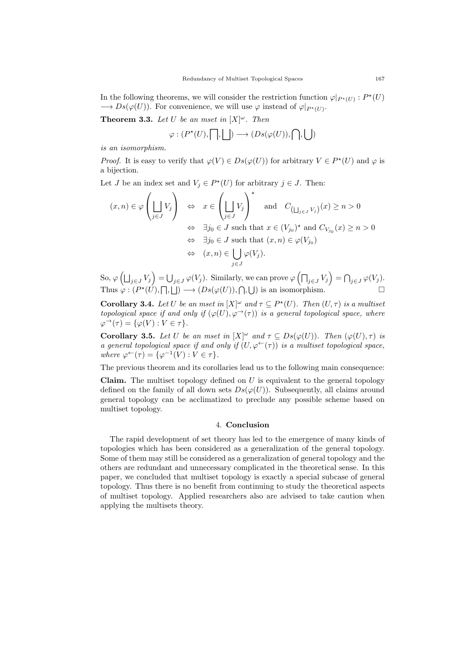In the following theorems, we will consider the restriction function  $\varphi|_{P^{\star}(U)} : P^{\star}(U)$  $\longrightarrow Ds(\varphi(U))$ . For convenience, we will use  $\varphi$  instead of  $\varphi|_{P^*(U)}$ .

**Theorem 3.3.** Let U be an mset in  $[X]^\omega$ . Then

$$
\varphi:(P^{\star}(U), \bigsqcup) \longrightarrow (Ds(\varphi(U)), \bigcap, \bigcup)
$$

is an isomorphism.

*Proof.* It is easy to verify that  $\varphi(V) \in Ds(\varphi(U))$  for arbitrary  $V \in P^*(U)$  and  $\varphi$  is a bijection.

Let *J* be an index set and  $V_j \in P^*(U)$  for arbitrary  $j \in J$ . Then:

$$
(x, n) \in \varphi \left( \bigsqcup_{j \in J} V_j \right) \quad \Leftrightarrow \quad x \in \left( \bigsqcup_{j \in J} V_j \right)^\star \quad \text{and} \quad C_{\left( \bigsqcup_{j \in J} V_j \right)}(x) \ge n > 0
$$
  

$$
\Leftrightarrow \exists j_0 \in J \text{ such that } x \in (V_{j_0})^\star \text{ and } C_{V_{j_0}}(x) \ge n > 0
$$
  

$$
\Leftrightarrow \exists j_0 \in J \text{ such that } (x, n) \in \varphi(V_{j_0})
$$
  

$$
\Leftrightarrow (x, n) \in \bigcup_{j \in J} \varphi(V_j).
$$

So,  $\varphi\left(\bigsqcup_{j\in J}V_j\right)=\bigcup_{j\in J}\varphi(V_j).$  Similarly, we can prove  $\varphi\left(\bigcap_{j\in J}V_j\right)=\bigcap_{j\in J}\varphi(V_j).$ Thus  $\varphi: (P^{\star}(\tilde{U}), \Box, \Box) \longrightarrow (Ds(\varphi(U)), \Box, \Box)$  is an isomorphism.

**Corollary 3.4.** Let U be an mset in  $[X]^\omega$  and  $\tau \subseteq P^{\star}(U)$ . Then  $(U, \tau)$  is a multiset topological space if and only if  $(\varphi(U), \varphi^{\rightarrow}(\tau))$  is a general topological space, where  $\varphi^{\rightarrow}(\tau) = {\varphi(V) : V \in \tau}.$ 

**Corollary 3.5.** Let U be an mset in  $[X]^\omega$  and  $\tau \subseteq Ds(\varphi(U))$ . Then  $(\varphi(U), \tau)$  is a general topological space if and only if  $(U, \varphi^{\leftarrow}(\tau))$  is a multiset topological space, where  $\varphi^{\leftarrow}(\tau) = {\varphi^{-1}(V) : V \in \tau}.$ 

The previous theorem and its corollaries lead us to the following main consequence:

**Claim.** The multiset topology defined on  $U$  is equivalent to the general topology defined on the family of all down sets  $Ds(\varphi(U))$ . Subsequently, all claims around general topology can be acclimatized to preclude any possible scheme based on multiset topology.

## 4. Conclusion

The rapid development of set theory has led to the emergence of many kinds of topologies which has been considered as a generalization of the general topology. Some of them may still be considered as a generalization of general topology and the others are redundant and unnecessary complicated in the theoretical sense. In this paper, we concluded that multiset topology is exactly a special subcase of general topology. Thus there is no benefit from continuing to study the theoretical aspects of multiset topology. Applied researchers also are advised to take caution when applying the multisets theory.